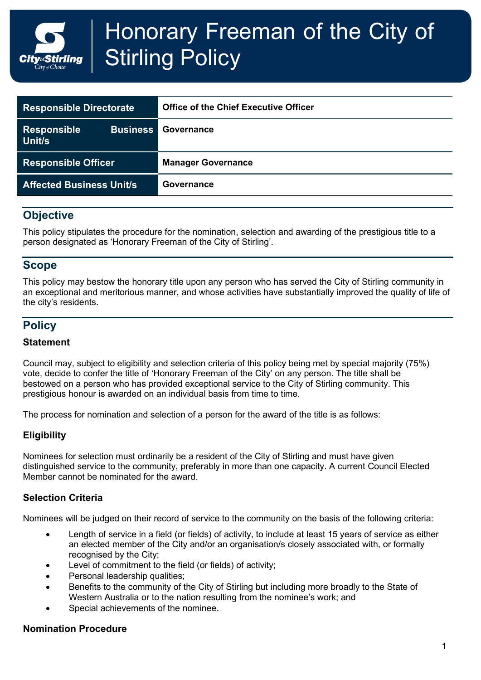

| <b>Responsible Directorate</b>  |                 | <b>Office of the Chief Executive Officer</b> |  |
|---------------------------------|-----------------|----------------------------------------------|--|
| <b>Responsible</b><br>Unit/s    | <b>Business</b> | Governance                                   |  |
| <b>Responsible Officer</b>      |                 | <b>Manager Governance</b>                    |  |
| <b>Affected Business Unit/s</b> |                 | Governance                                   |  |

# **Objective**

This policy stipulates the procedure for the nomination, selection and awarding of the prestigious title to a person designated as 'Honorary Freeman of the City of Stirling'.

## **Scope**

This policy may bestow the honorary title upon any person who has served the City of Stirling community in an exceptional and meritorious manner, and whose activities have substantially improved the quality of life of the city's residents.

# **Policy**

#### **Statement**

Council may, subject to eligibility and selection criteria of this policy being met by special majority (75%) vote, decide to confer the title of 'Honorary Freeman of the City' on any person. The title shall be bestowed on a person who has provided exceptional service to the City of Stirling community. This prestigious honour is awarded on an individual basis from time to time.

The process for nomination and selection of a person for the award of the title is as follows:

## **Eligibility**

Nominees for selection must ordinarily be a resident of the City of Stirling and must have given distinguished service to the community, preferably in more than one capacity. A current Council Elected Member cannot be nominated for the award.

## **Selection Criteria**

Nominees will be judged on their record of service to the community on the basis of the following criteria:

- Length of service in a field (or fields) of activity, to include at least 15 years of service as either an elected member of the City and/or an organisation/s closely associated with, or formally recognised by the City;
- Level of commitment to the field (or fields) of activity;
- Personal leadership qualities;
- Benefits to the community of the City of Stirling but including more broadly to the State of Western Australia or to the nation resulting from the nominee's work; and
- Special achievements of the nominee.

#### **Nomination Procedure**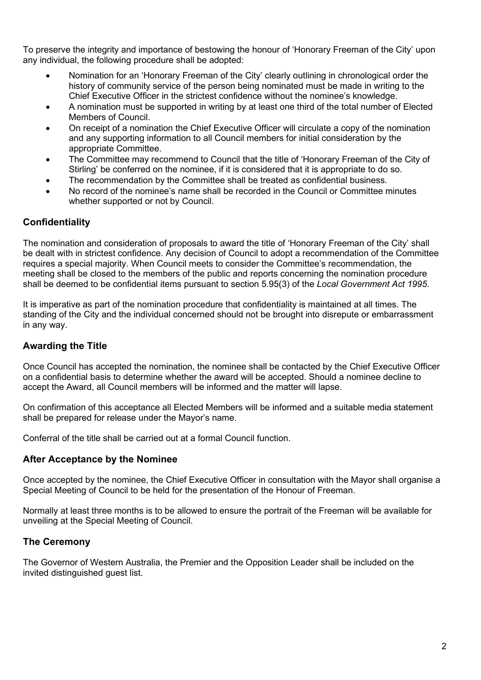To preserve the integrity and importance of bestowing the honour of 'Honorary Freeman of the City' upon any individual, the following procedure shall be adopted:

- Nomination for an 'Honorary Freeman of the City' clearly outlining in chronological order the history of community service of the person being nominated must be made in writing to the Chief Executive Officer in the strictest confidence without the nominee's knowledge.
- A nomination must be supported in writing by at least one third of the total number of Elected Members of Council.
- On receipt of a nomination the Chief Executive Officer will circulate a copy of the nomination and any supporting information to all Council members for initial consideration by the appropriate Committee.
- The Committee may recommend to Council that the title of 'Honorary Freeman of the City of Stirling' be conferred on the nominee, if it is considered that it is appropriate to do so.
- The recommendation by the Committee shall be treated as confidential business.
- No record of the nominee's name shall be recorded in the Council or Committee minutes whether supported or not by Council.

#### **Confidentiality**

The nomination and consideration of proposals to award the title of 'Honorary Freeman of the City' shall be dealt with in strictest confidence. Any decision of Council to adopt a recommendation of the Committee requires a special majority. When Council meets to consider the Committee's recommendation, the meeting shall be closed to the members of the public and reports concerning the nomination procedure shall be deemed to be confidential items pursuant to section 5.95(3) of the *Local Government Act 1995*.

It is imperative as part of the nomination procedure that confidentiality is maintained at all times. The standing of the City and the individual concerned should not be brought into disrepute or embarrassment in any way.

## **Awarding the Title**

Once Council has accepted the nomination, the nominee shall be contacted by the Chief Executive Officer on a confidential basis to determine whether the award will be accepted. Should a nominee decline to accept the Award, all Council members will be informed and the matter will lapse.

On confirmation of this acceptance all Elected Members will be informed and a suitable media statement shall be prepared for release under the Mayor's name.

Conferral of the title shall be carried out at a formal Council function.

#### **After Acceptance by the Nominee**

Once accepted by the nominee, the Chief Executive Officer in consultation with the Mayor shall organise a Special Meeting of Council to be held for the presentation of the Honour of Freeman.

Normally at least three months is to be allowed to ensure the portrait of the Freeman will be available for unveiling at the Special Meeting of Council.

#### **The Ceremony**

The Governor of Western Australia, the Premier and the Opposition Leader shall be included on the invited distinguished guest list.